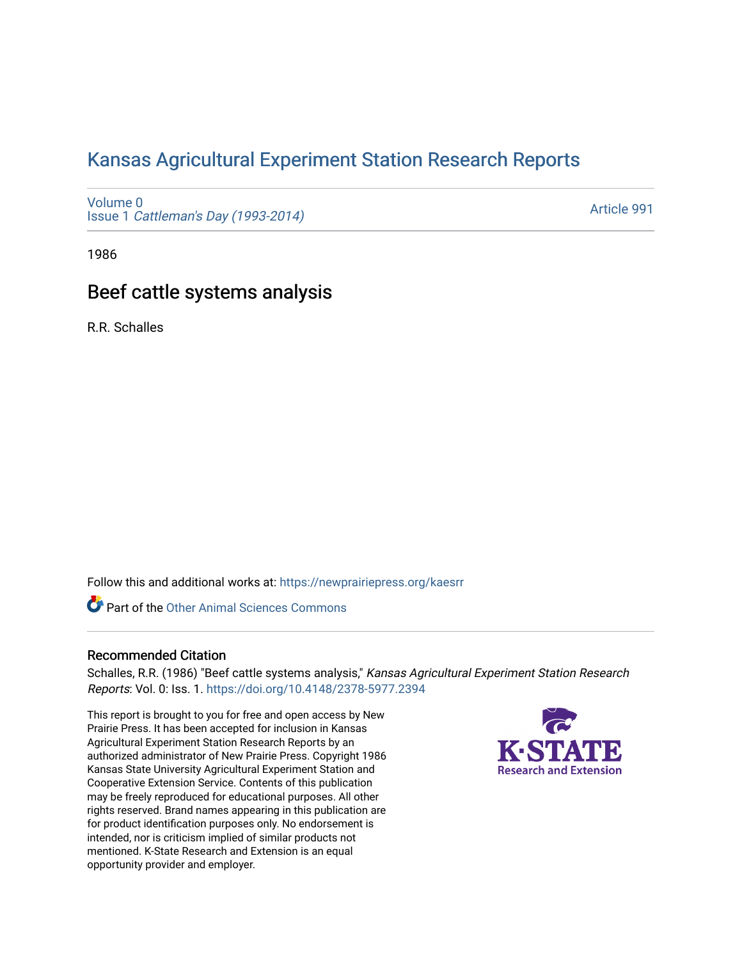# [Kansas Agricultural Experiment Station Research Reports](https://newprairiepress.org/kaesrr)

[Volume 0](https://newprairiepress.org/kaesrr/vol0) Issue 1 [Cattleman's Day \(1993-2014\)](https://newprairiepress.org/kaesrr/vol0/iss1) 

[Article 991](https://newprairiepress.org/kaesrr/vol0/iss1/991) 

1986

## Beef cattle systems analysis

R.R. Schalles

Follow this and additional works at: [https://newprairiepress.org/kaesrr](https://newprairiepress.org/kaesrr?utm_source=newprairiepress.org%2Fkaesrr%2Fvol0%2Fiss1%2F991&utm_medium=PDF&utm_campaign=PDFCoverPages) 

Part of the [Other Animal Sciences Commons](http://network.bepress.com/hgg/discipline/82?utm_source=newprairiepress.org%2Fkaesrr%2Fvol0%2Fiss1%2F991&utm_medium=PDF&utm_campaign=PDFCoverPages)

## Recommended Citation

Schalles, R.R. (1986) "Beef cattle systems analysis," Kansas Agricultural Experiment Station Research Reports: Vol. 0: Iss. 1.<https://doi.org/10.4148/2378-5977.2394>

This report is brought to you for free and open access by New Prairie Press. It has been accepted for inclusion in Kansas Agricultural Experiment Station Research Reports by an authorized administrator of New Prairie Press. Copyright 1986 Kansas State University Agricultural Experiment Station and Cooperative Extension Service. Contents of this publication may be freely reproduced for educational purposes. All other rights reserved. Brand names appearing in this publication are for product identification purposes only. No endorsement is intended, nor is criticism implied of similar products not mentioned. K-State Research and Extension is an equal opportunity provider and employer.

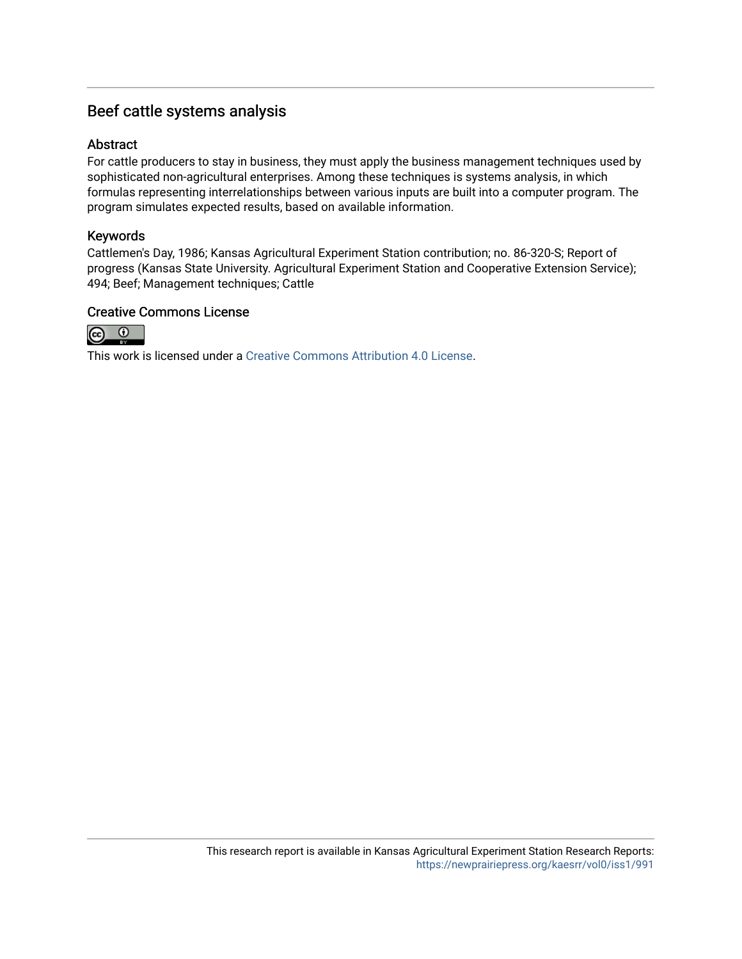## Beef cattle systems analysis

## Abstract

For cattle producers to stay in business, they must apply the business management techniques used by sophisticated non-agricultural enterprises. Among these techniques is systems analysis, in which formulas representing interrelationships between various inputs are built into a computer program. The program simulates expected results, based on available information.

## Keywords

Cattlemen's Day, 1986; Kansas Agricultural Experiment Station contribution; no. 86-320-S; Report of progress (Kansas State University. Agricultural Experiment Station and Cooperative Extension Service); 494; Beef; Management techniques; Cattle

## Creative Commons License



This work is licensed under a [Creative Commons Attribution 4.0 License](https://creativecommons.org/licenses/by/4.0/).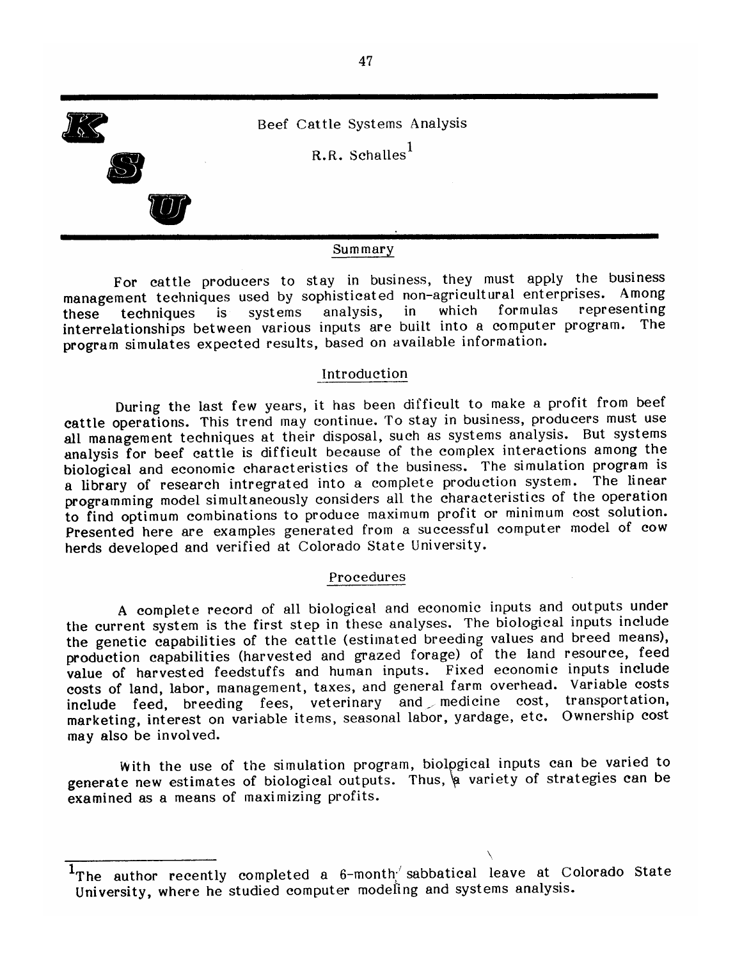

#### Summary

For cattle producers to stay in business, they must apply the business management techniques used by sophisticated non-agricultural enterprises. Among representing which formulas systems in analysis, these techniques is interrelationships between various inputs are built into a computer program. The program simulates expected results, based on available information.

## Introduction

During the last few years, it has been difficult to make a profit from beef cattle operations. This trend may continue. To stay in business, producers must use all management techniques at their disposal, such as systems analysis. But systems analysis for beef cattle is difficult because of the complex interactions among the biological and economic characteristics of the business. The simulation program is a library of research intregrated into a complete production system. The linear programming model simultaneously considers all the characteristics of the operation to find optimum combinations to produce maximum profit or minimum cost solution. Presented here are examples generated from a successful computer model of cow herds developed and verified at Colorado State University.

### Procedures

A complete record of all biological and economic inputs and outputs under the current system is the first step in these analyses. The biological inputs include the genetic capabilities of the cattle (estimated breeding values and breed means), production capabilities (harvested and grazed forage) of the land resource, feed value of harvested feedstuffs and human inputs. Fixed economic inputs include costs of land, labor, management, taxes, and general farm overhead. Variable costs include feed, breeding fees, veterinary and medicine cost, transportation, marketing, interest on variable items, seasonal labor, yardage, etc. Ownership cost may also be involved.

With the use of the simulation program, biological inputs can be varied to generate new estimates of biological outputs. Thus, a variety of strategies can be examined as a means of maximizing profits.

<sup>&</sup>lt;sup>1</sup>The author recently completed a 6-month sabbatical leave at Colorado State University, where he studied computer modeling and systems analysis.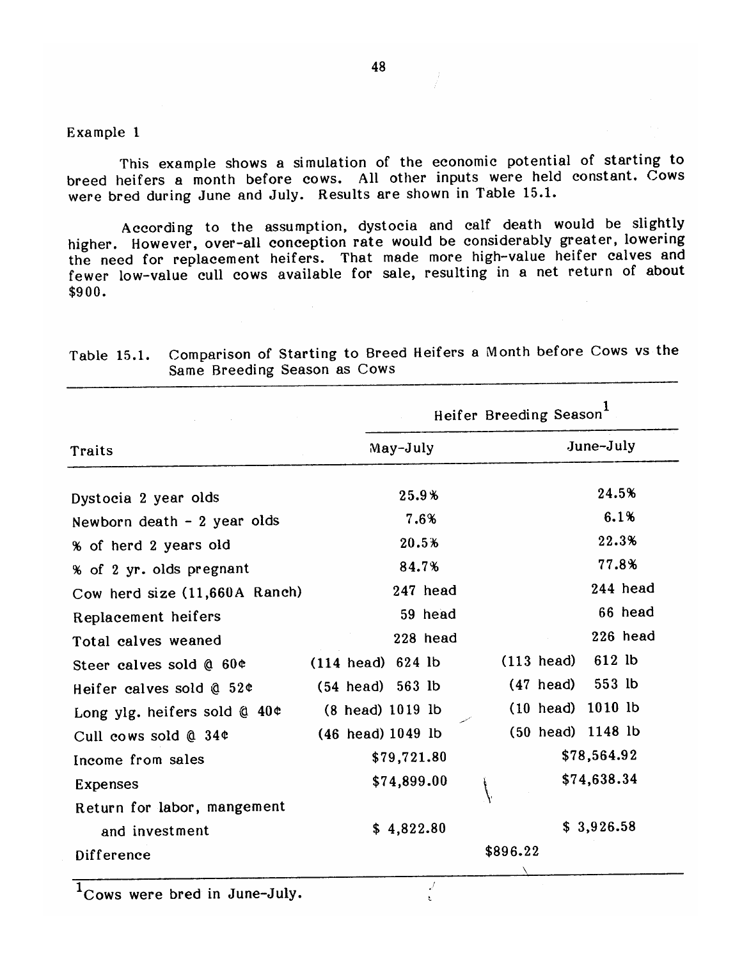### Example 1

This example shows a simulation of the economic potential of starting to breed heifers a month before cows. All other inputs were held constant. Cows were bred during June and July. Results are shown in Table 15.1.

According to the assumption, dystocia and calf death would be slightly higher. However, over-all conception rate would be considerably greater, lowering the need for replacement heifers. That made more high-value heifer calves and fewer low-value cull cows available for sale, resulting in a net return of about  $$900.$ 

|                                |                             | Heifer Breeding Season         |
|--------------------------------|-----------------------------|--------------------------------|
| Traits                         | May-July                    | June-July                      |
| Dystocia 2 year olds           | 25.9%                       | 24.5%                          |
| Newborn death - 2 year olds    | 7.6%                        | 6.1%                           |
| % of herd 2 years old          | 20.5%                       | 22.3%                          |
| % of 2 yr. olds pregnant       | 84.7%                       | 77.8%                          |
| Cow herd size (11,660A Ranch)  | 247 head                    | 244 head                       |
| Replacement heifers            | 59 head                     | 66 head                        |
| Total calves weaned            | 228 head                    | $226$ head                     |
| Steer calves sold @ 60¢        | $(114 \text{ head})$ 624 lb | 612 lb<br>$(113 \text{ head})$ |
| Heifer calves sold @ 52¢       | $(54$ head) $563$ lb        | 553 lb<br>$(47 \text{ head})$  |
| Long ylg. heifers sold $@$ 40¢ | (8 head) 1019 lb            | (10 head) 1010 lb              |
| Cull cows sold @ 34¢           | $(46 \text{ head})$ 1049 lb | (50 head) 1148 lb              |
| Income from sales              | \$79,721.80                 | \$78,564.92                    |
| Expenses                       | \$74,899.00                 | \$74,638.34                    |
| Return for labor, mangement    |                             |                                |
| and investment                 | \$4,822.80                  | \$3,926.58                     |
| Difference                     |                             | \$896.22                       |
|                                |                             |                                |

 $\mathcal J$ 

ŧ.

Comparison of Starting to Breed Heifers a Month before Cows vs the Table 15.1. Same Breeding Season as Cows

 $1$ Cows were bred in June-July.